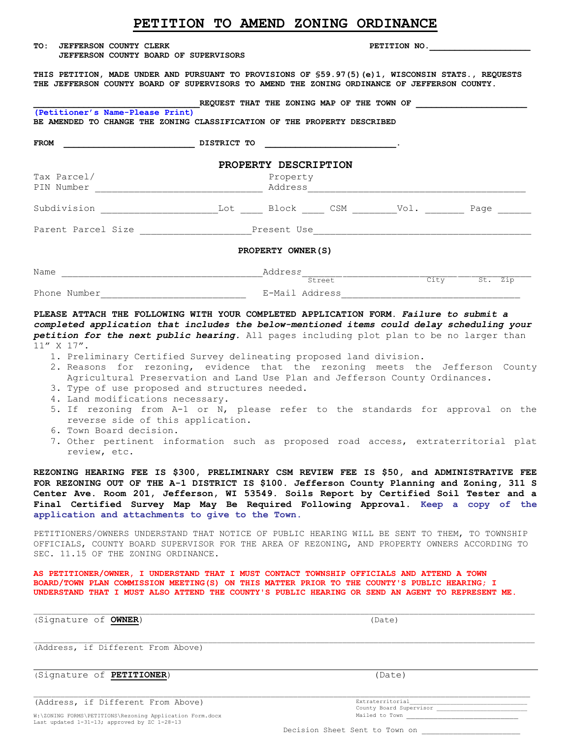| TO :<br><b>JEFFERSON COUNTY CLERK</b><br>JEFFERSON COUNTY BOARD OF SUPERVISORS                                                                                                                                                                                                                                                                                                                                                                                                                 |                                                                              |                      | PETITION NO. |  |
|------------------------------------------------------------------------------------------------------------------------------------------------------------------------------------------------------------------------------------------------------------------------------------------------------------------------------------------------------------------------------------------------------------------------------------------------------------------------------------------------|------------------------------------------------------------------------------|----------------------|--------------|--|
| THIS PETITION, MADE UNDER AND PURSUANT TO PROVISIONS OF \$59.97(5)(e)1, WISCONSIN STATS., REQUESTS<br>THE JEFFERSON COUNTY BOARD OF SUPERVISORS TO AMEND THE ZONING ORDINANCE OF JEFFERSON COUNTY.                                                                                                                                                                                                                                                                                             |                                                                              |                      |              |  |
| (Petitioner's Name-Please Print)<br>BE AMENDED TO CHANGE THE ZONING CLASSIFICATION OF THE PROPERTY DESCRIBED                                                                                                                                                                                                                                                                                                                                                                                   | REQUEST THAT THE ZONING MAP OF THE TOWN OF                                   |                      |              |  |
| $\overline{\phantom{a}}$ $\overline{\phantom{a}}$ $\overline{\phantom{a}}$ $\overline{\phantom{a}}$ $\overline{\phantom{a}}$ $\overline{\phantom{a}}$ $\overline{\phantom{a}}$ $\overline{\phantom{a}}$ $\overline{\phantom{a}}$ $\overline{\phantom{a}}$ $\overline{\phantom{a}}$ $\overline{\phantom{a}}$ $\overline{\phantom{a}}$ $\overline{\phantom{a}}$ $\overline{\phantom{a}}$ $\overline{\phantom{a}}$ $\overline{\phantom{a}}$ $\overline{\phantom{a}}$ $\overline{\$<br><b>FROM</b> |                                                                              |                      |              |  |
|                                                                                                                                                                                                                                                                                                                                                                                                                                                                                                |                                                                              | PROPERTY DESCRIPTION |              |  |
| Tax Parcel/                                                                                                                                                                                                                                                                                                                                                                                                                                                                                    |                                                                              | Property             |              |  |
|                                                                                                                                                                                                                                                                                                                                                                                                                                                                                                |                                                                              |                      |              |  |
|                                                                                                                                                                                                                                                                                                                                                                                                                                                                                                |                                                                              |                      |              |  |
|                                                                                                                                                                                                                                                                                                                                                                                                                                                                                                |                                                                              | PROPERTY OWNER (S)   |              |  |
|                                                                                                                                                                                                                                                                                                                                                                                                                                                                                                |                                                                              |                      |              |  |
|                                                                                                                                                                                                                                                                                                                                                                                                                                                                                                |                                                                              |                      |              |  |
| PLEASE ATTACH THE FOLLOWING WITH YOUR COMPLETED APPLICATION FORM. Failure to submit a<br>completed application that includes the below-mentioned items could delay scheduling your<br>petition for the next public hearing. All pages including plot plan to be no larger than<br>$11''$ X $17''$ .<br>1. Preliminary Certified Survey delineating proposed land division.<br>2. Reasons for rezoning, evidence that the rezoning meets the Jefferson County                                   |                                                                              |                      |              |  |
| 3. Type of use proposed and structures needed.                                                                                                                                                                                                                                                                                                                                                                                                                                                 | Agricultural Preservation and Land Use Plan and Jefferson County Ordinances. |                      |              |  |

**PETITION TO AMEND ZONING ORDINANCE** 

- 4. Land modifications necessary.
- 5. If rezoning from A-1 or N, please refer to the standards for approval on the reverse side of this application.
- 6. Town Board decision.
- 7. Other pertinent information such as proposed road access, extraterritorial plat review, etc.

**REZONING HEARING FEE IS \$300, PRELIMINARY CSM REVIEW FEE IS \$50, and ADMINISTRATIVE FEE FOR REZONING OUT OF THE A-1 DISTRICT IS \$100. Jefferson County Planning and Zoning, 311 S Center Ave. Room 201, Jefferson, WI 53549. Soils Report by Certified Soil Tester and a Final Certified Survey Map May Be Required Following Approval. Keep a copy of the application and attachments to give to the Town.**

PETITIONERS/OWNERS UNDERSTAND THAT NOTICE OF PUBLIC HEARING WILL BE SENT TO THEM, TO TOWNSHIP OFFICIALS, COUNTY BOARD SUPERVISOR FOR THE AREA OF REZONING, AND PROPERTY OWNERS ACCORDING TO SEC. 11.15 OF THE ZONING ORDINANCE.

**AS PETITIONER/OWNER, I UNDERSTAND THAT I MUST CONTACT TOWNSHIP OFFICIALS AND ATTEND A TOWN BOARD/TOWN PLAN COMMISSION MEETING(S) ON THIS MATTER PRIOR TO THE COUNTY'S PUBLIC HEARING; I UNDERSTAND THAT I MUST ALSO ATTEND THE COUNTY'S PUBLIC HEARING OR SEND AN AGENT TO REPRESENT ME.**

| (Signature of <b>OWNER</b> ) |  |  | (Date) |
|------------------------------|--|--|--------|
|------------------------------|--|--|--------|

(Address, if Different From Above)

(Signature of **PETITIONER**) (Date)

(Address, if Different From Above)

W:\ZONING FORMS\PETITIONS\Rezoning Application Form.docx Last updated 1-31-13; approved by ZC 1-28-13

| Decision Sheet Sent to Town on |  |
|--------------------------------|--|

County Board Supervisor

Mailed to Town

Extraterritorial